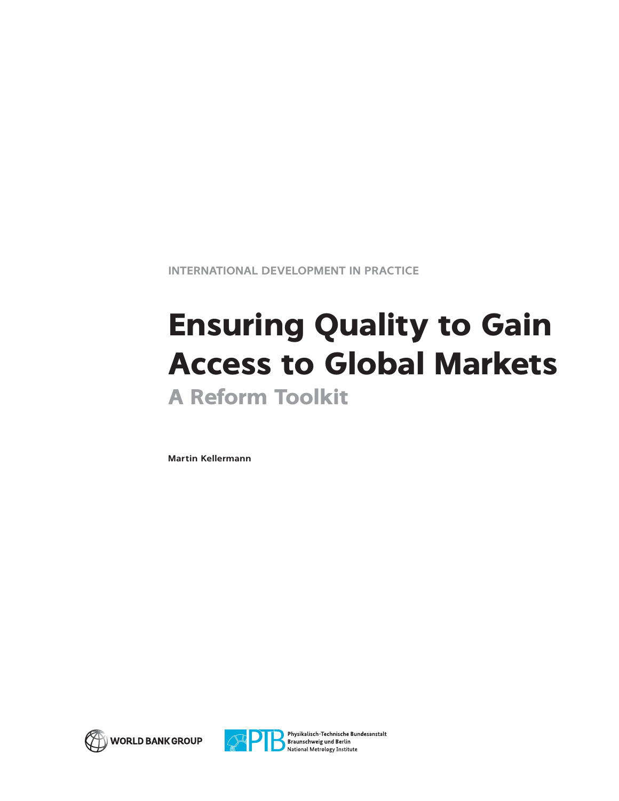**INTERNATIONAL DEVELOPMENT IN PRACTICE**

# **Ensuring Quality to Gain Access to Global Markets A Reform Toolkit**

**Martin Kellermann**





Physikalisch-Technische Bundesanstalt **State Braunschweig und Berlin**<br>National Metrology Institute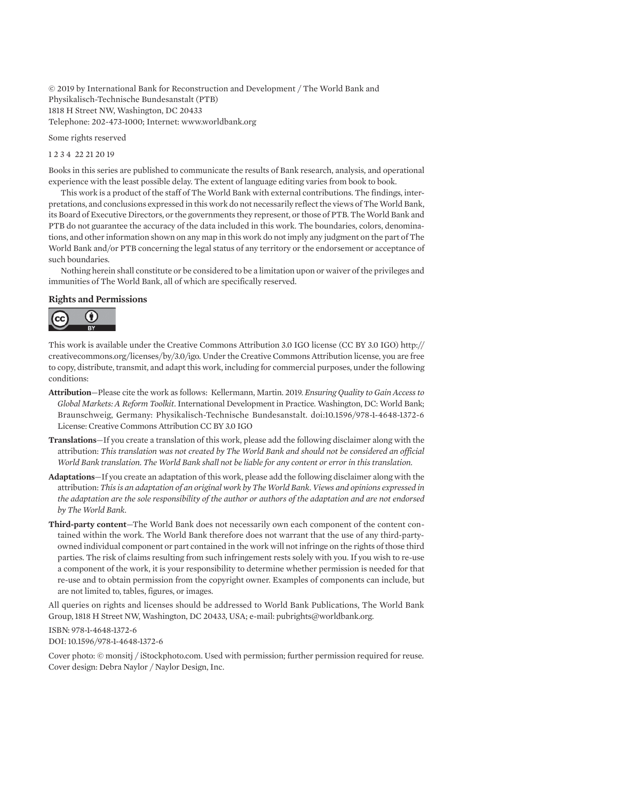© 2019 by International Bank for Reconstruction and Development / The World Bank and Physikalisch-Technische Bundesanstalt (PTB) 1818 H Street NW, Washington, DC 20433 Telephone: 202-473-1000; Internet:<www.worldbank.org>

Some rights reserved

1 2 3 4 22 21 20 19

Books in this series are published to communicate the results of Bank research, analysis, and operational experience with the least possible delay. The extent of language editing varies from book to book.

This work is a product of the staff of The World Bank with external contributions. The findings, interpretations, and conclusions expressed in this work do not necessarily reflect the views of The World Bank, its Board of Executive Directors, or the governments they represent, or those of PTB. The World Bank and PTB do not guarantee the accuracy of the data included in this work. The boundaries, colors, denominations, and other information shown on any map in this work do not imply any judgment on the part of The World Bank and/or PTB concerning the legal status of any territory or the endorsement or acceptance of such boundaries.

Nothing herein shall constitute or be considered to be a limitation upon or waiver of the privileges and immunities of The World Bank, all of which are specifically reserved.

#### **Rights and Permissions**



This work is available under the Creative Commons Attribution 3.0 IGO license (CC BY 3.0 IGO) [http://](http://creativecommons.org/licenses/by/3.0/igo) [creativecommons.org/licenses/by/3.0/igo.](http://creativecommons.org/licenses/by/3.0/igo) Under the Creative Commons Attribution license, you are free to copy, distribute, transmit, and adapt this work, including for commercial purposes, under the following conditions:

- **Attribution**—Please cite the work as follows: Kellermann, Martin. 2019. *Ensuring Quality to Gain Access to Global Markets: A Reform Toolkit*. International Development in Practice. Washington, DC: World Bank; Braunschweig, Germany: Physikalisch-Technische Bundesanstalt. doi:10.1596/978-1-4648-1372-6 License: Creative Commons Attribution CC BY 3.0 IGO
- **Translations**—If you create a translation of this work, please add the following disclaimer along with the attribution: *This translation was not created by The World Bank and should not be considered an official World Bank translation. The World Bank shall not be liable for any content or error in this translation.*
- **Adaptations**—If you create an adaptation of this work, please add the following disclaimer along with the attribution: *This is an adaptation of an original work by The World Bank. Views and opinions expressed in the adaptation are the sole responsibility of the author or authors of the adaptation and are not endorsed by The World Bank.*
- **Third-party content**—The World Bank does not necessarily own each component of the content contained within the work. The World Bank therefore does not warrant that the use of any third-partyowned individual component or part contained in the work will not infringe on the rights of those third parties. The risk of claims resulting from such infringement rests solely with you. If you wish to re-use a component of the work, it is your responsibility to determine whether permission is needed for that re-use and to obtain permission from the copyright owner. Examples of components can include, but are not limited to, tables, figures, or images.

All queries on rights and licenses should be addressed to World Bank Publications, The World Bank Group, 1818 H Street NW, Washington, DC 20433, USA; e-mail: [pubrights@worldbank.org](mailto:pubrights@worldbank.org).

ISBN: 978-1-4648-1372-6 DOI: 10.1596/978-1-4648-1372-6

Cover photo: © monsitj / [iStockphoto.com.](http://iStockphoto.com) Used with permission; further permission required for reuse. Cover design: Debra Naylor / Naylor Design, Inc.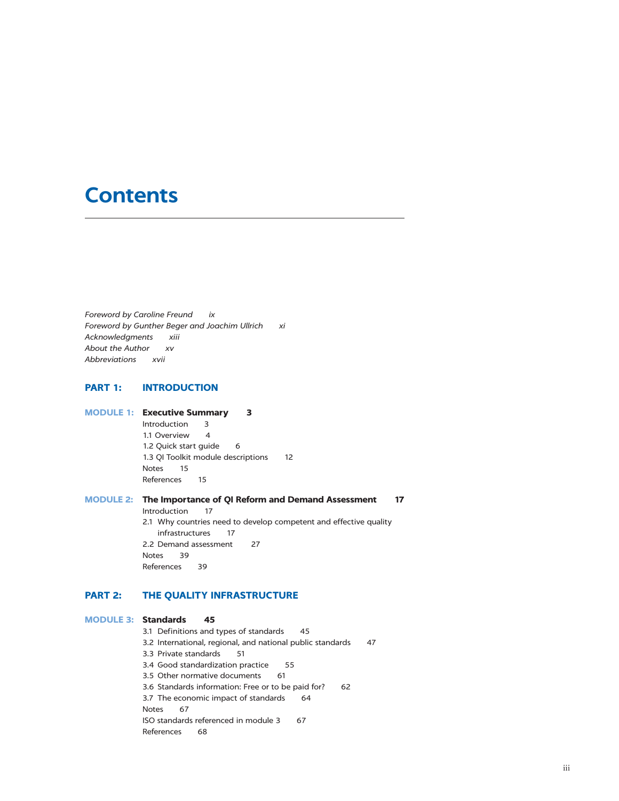# **Contents**

*Foreword by Caroline Freund ix Foreword by Gunther Beger and Joachim Ullrich xi Acknowledgments xiii About the Author xv Abbreviations xvii*

#### **PART 1: INTRODUCTION**

### **MODULE 1: Executive Summary 3**

Introduction 3 1.1 Overview 4 1.2 Quick start guide 6 1.3 QI Toolkit module descriptions 12 Notes 15 References 15

## **MODULE 2: The Importance of QI Reform and Demand Assessment 17**

Introduction 17 2.1 Why countries need to develop competent and effective quality

infrastructures 17 2.2 Demand assessment 27 Notes 39 References 39

### **PART 2: THE QUALITY INFRASTRUCTURE**

#### **MODULE 3: Standards 45**

3.1 Definitions and types of standards 45 3.2 International, regional, and national public standards 47 3.3 Private standards 51 3.4 Good standardization practice 55 3.5 Other normative documents 61 3.6 Standards information: Free or to be paid for? 62 3.7 The economic impact of standards 64 Notes 67 ISO standards referenced in module 3 67 References 68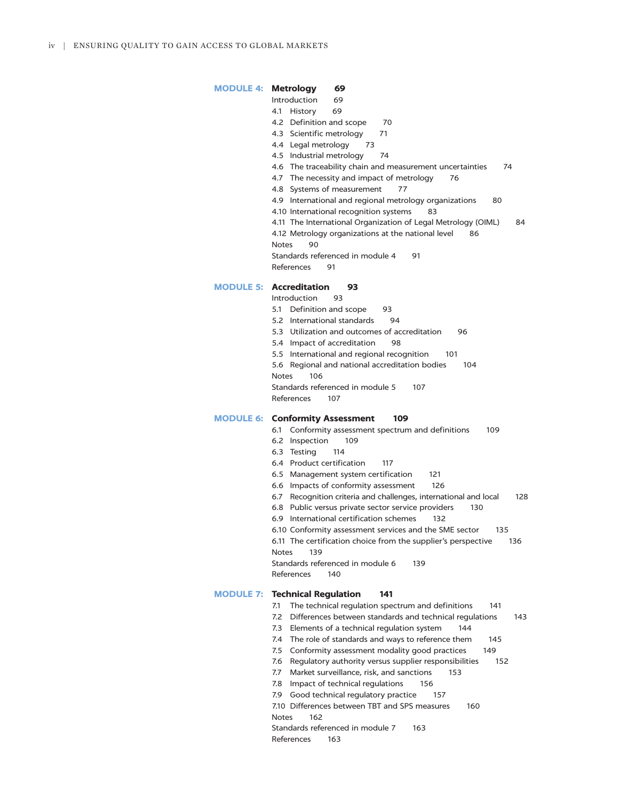### **MODULE 4: Metrology 69** Introduction 69 4.1 History 69 4.2 Definition and scope 70 4.3 Scientific metrology 71 4.4 Legal metrology 73 4.5 Industrial metrology 74 4.6 The traceability chain and measurement uncertainties 74 4.7 The necessity and impact of metrology 76 4.8 Systems of measurement 77 4.9 International and regional metrology organizations 80 4.10 International recognition systems 83 4.11 The International Organization of Legal Metrology (OIML) 84 4.12 Metrology organizations at the national level 86 Notes 90 Standards referenced in module 4 91 References 91

#### **MODULE 5: Accreditation 93**

- Introduction 93
- 5.1 Definition and scope 93
- 5.2 International standards 94
- 5.3 Utilization and outcomes of accreditation 96
- 5.4 Impact of accreditation 98
- 5.5 International and regional recognition 101
- 5.6 Regional and national accreditation bodies 104
- Notes 106

Standards referenced in module 5 107

References 107

#### **MODULE 6: Conformity Assessment 109**

- 6.1 Conformity assessment spectrum and definitions 109
- 6.2 Inspection 109
- 6.3 Testing 114
- 6.4 Product certification 117
- 6.5 Management system certification 121
- 6.6 Impacts of conformity assessment 126
- 6.7 Recognition criteria and challenges, international and local 128
- 6.8 Public versus private sector service providers 130
- 6.9 International certification schemes 132
- 6.10 Conformity assessment services and the SME sector 135
- 6.11 The certification choice from the supplier's perspective 136
- Notes 139

Standards referenced in module 6 139

References 140

### **MODULE 7: Technical Regulation 141**

- 7.1 The technical regulation spectrum and definitions 141
- 7.2 Differences between standards and technical regulations 143
- 7.3 Elements of a technical regulation system 144
- 7.4 The role of standards and ways to reference them 145
- 7.5 Conformity assessment modality good practices 149
- 7.6 Regulatory authority versus supplier responsibilities 152
- 7.7 Market surveillance, risk, and sanctions 153
- 7.8 Impact of technical regulations 156
- 7.9 Good technical regulatory practice 157
- 7.10 Differences between TBT and SPS measures 160 Notes 162
- Standards referenced in module 7 163
- References 163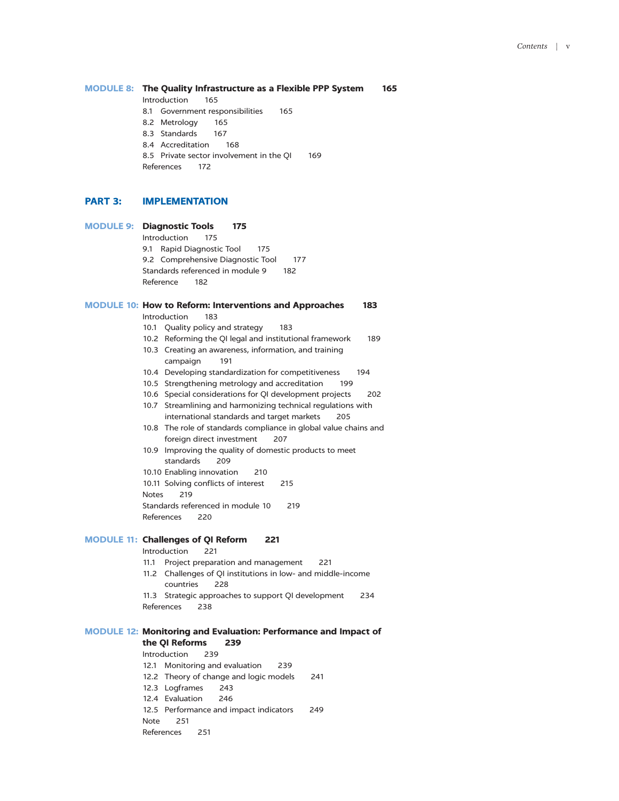#### **MODULE 8: The Quality Infrastructure as a Flexible PPP System 165**

Introduction 165

- 8.1 Government responsibilities 165
- 8.2 Metrology 165
- 8.3 Standards 167
- 8.4 Accreditation 168
- 8.5 Private sector involvement in the QI 169

References 172

#### **PART 3: IMPLEMENTATION**

Note 251 References 251

# **MODULE 9: Diagnostic Tools 175** Introduction 175 9.1 Rapid Diagnostic Tool 175 9.2 Comprehensive Diagnostic Tool 177 Standards referenced in module 9 182 Reference 182 **MODULE 10: How to Reform: Interventions and Approaches 183** Introduction 183 10.1 Quality policy and strategy 183 10.2 Reforming the QI legal and institutional framework 189 10.3 Creating an awareness, information, and training campaign 191 10.4 Developing standardization for competitiveness 194 10.5 Strengthening metrology and accreditation 199 10.6 Special considerations for QI development projects 202 10.7 Streamlining and harmonizing technical regulations with international standards and target markets 205 10.8 The role of standards compliance in global value chains and foreign direct investment 207 10.9 Improving the quality of domestic products to meet standards 209 10.10 Enabling innovation 210 10.11 Solving conflicts of interest 215 Notes 219 Standards referenced in module 10 219 References 220 **MODULE 11: Challenges of QI Reform 221** Introduction 221 11.1 Project preparation and management 221 11.2 Challenges of QI institutions in low- and middle-income countries 228 11.3 Strategic approaches to support QI development 234 References 238 **MODULE 12: Monitoring and Evaluation: Performance and Impact of the QI Reforms 239** Introduction 239 12.1 Monitoring and evaluation 239 12.2 Theory of change and logic models 241 12.3 Logframes 243 12.4 Evaluation 246 12.5 Performance and impact indicators 249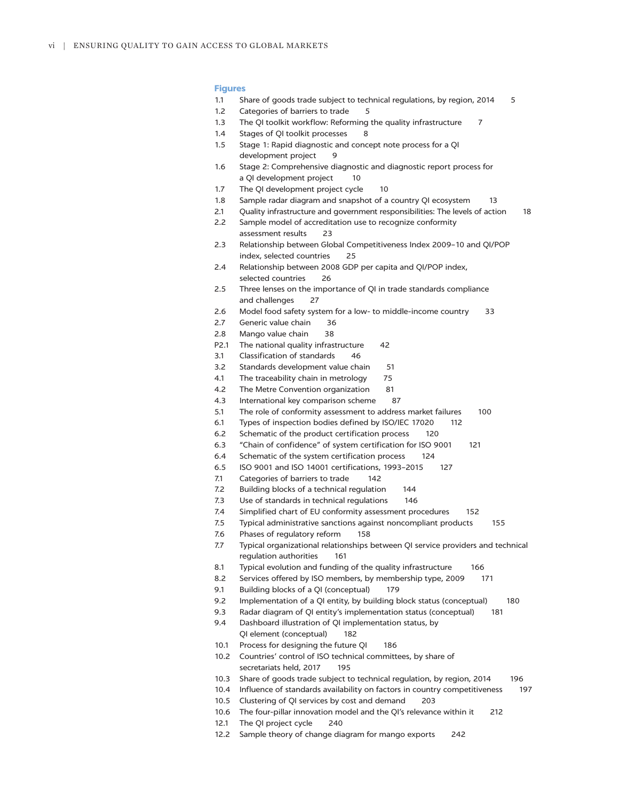#### **Figures**

- 1.1 Share of goods trade subject to technical regulations, by region, 2014 5
- 1.2 Categories of barriers to trade 5
- 1.3 The QI toolkit workflow: Reforming the quality infrastructure 7
- 1.4 Stages of QI toolkit processes 8
- 1.5 Stage 1: Rapid diagnostic and concept note process for a QI development project 9
- 1.6 Stage 2: Comprehensive diagnostic and diagnostic report process for a QI development project 10
- 1.7 The QI development project cycle 10
- 1.8 Sample radar diagram and snapshot of a country QI ecosystem 13
- 2.1 Quality infrastructure and government responsibilities: The levels of action 18
- 2.2 Sample model of accreditation use to recognize conformity assessment results 23
- 2.3 Relationship between Global Competitiveness Index 2009–10 and QI/POP index, selected countries 25
- 2.4 Relationship between 2008 GDP per capita and QI/POP index, selected countries 26
- 2.5 Three lenses on the importance of QI in trade standards compliance and challenges 27
- 2.6 Model food safety system for a low- to middle-income country 33
- 2.7 Generic value chain 36
- 2.8 Mango value chain 38
- P2.1 The national quality infrastructure 42
- 3.1 Classification of standards 46
- 3.2 Standards development value chain 51
- 4.1 The traceability chain in metrology 75
- 4.2 The Metre Convention organization 81
- 4.3 International key comparison scheme 87
- 5.1 The role of conformity assessment to address market failures 100
- 6.1 Types of inspection bodies defined by ISO/IEC 17020 112
- 6.2 Schematic of the product certification process 120
- 6.3 "Chain of confidence" of system certification for ISO 9001 121
- 6.4 Schematic of the system certification process 124
- 6.5 ISO 9001 and ISO 14001 certifications, 1993–2015 127
- 7.1 Categories of barriers to trade 142
- 7.2 Building blocks of a technical regulation 144
- 7.3 Use of standards in technical regulations 146
- 7.4 Simplified chart of EU conformity assessment procedures 152
- 7.5 Typical administrative sanctions against noncompliant products 155
- 7.6 Phases of regulatory reform 158
- 7.7 Typical organizational relationships between QI service providers and technical regulation authorities 161
- 8.1 Typical evolution and funding of the quality infrastructure 166
- 8.2 Services offered by ISO members, by membership type, 2009 171
- 9.1 Building blocks of a QI (conceptual) 179
- 9.2 Implementation of a QI entity, by building block status (conceptual) 180
- 9.3 Radar diagram of QI entity's implementation status (conceptual) 181
- 9.4 Dashboard illustration of QI implementation status, by
	- QI element (conceptual) 182
- 10.1 Process for designing the future QI 186
- 10.2 Countries' control of ISO technical committees, by share of secretariats held, 2017 195
- 10.3 Share of goods trade subject to technical regulation, by region, 2014 196
- 10.4 Influence of standards availability on factors in country competitiveness 197
- 10.5 Clustering of QI services by cost and demand 203
- 10.6 The four-pillar innovation model and the QI's relevance within it 212
- 12.1 The QI project cycle 240
- 12.2 Sample theory of change diagram for mango exports 242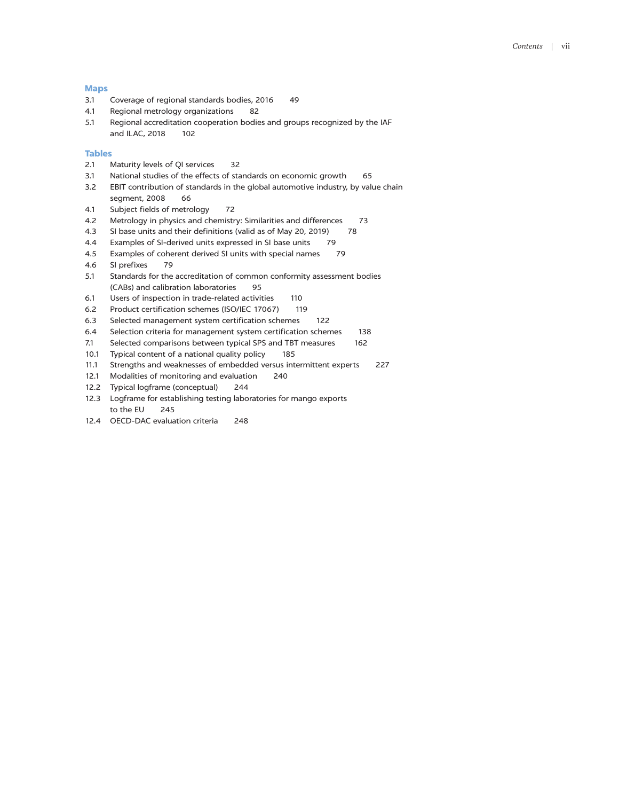#### **Maps**

- 3.1 Coverage of regional standards bodies, 2016 49
- 4.1 Regional metrology organizations 82
- 5.1 Regional accreditation cooperation bodies and groups recognized by the IAF and ILAC, 2018 102

#### **Tables**

- 2.1 Maturity levels of QI services 32
- 3.1 National studies of the effects of standards on economic growth 65
- 3.2 EBIT contribution of standards in the global automotive industry, by value chain segment, 2008 66
- 4.1 Subject fields of metrology 72
- 4.2 Metrology in physics and chemistry: Similarities and differences 73
- 4.3 SI base units and their definitions (valid as of May 20, 2019) 78
- 4.4 Examples of SI-derived units expressed in SI base units 79
- 4.5 Examples of coherent derived SI units with special names 79
- 4.6 SI prefixes 79
- 5.1 Standards for the accreditation of common conformity assessment bodies (CABs) and calibration laboratories 95
- 6.1 Users of inspection in trade-related activities 110
- 6.2 Product certification schemes (ISO/IEC 17067) 119
- 6.3 Selected management system certification schemes 122
- 6.4 Selection criteria for management system certification schemes 138
- 7.1 Selected comparisons between typical SPS and TBT measures 162
- 10.1 Typical content of a national quality policy 185
- 11.1 Strengths and weaknesses of embedded versus intermittent experts 227
- 12.1 Modalities of monitoring and evaluation 240
- 12.2 Typical logframe (conceptual) 244
- 12.3 Logframe for establishing testing laboratories for mango exports to the EU 245
- 12.4 OECD-DAC evaluation criteria 248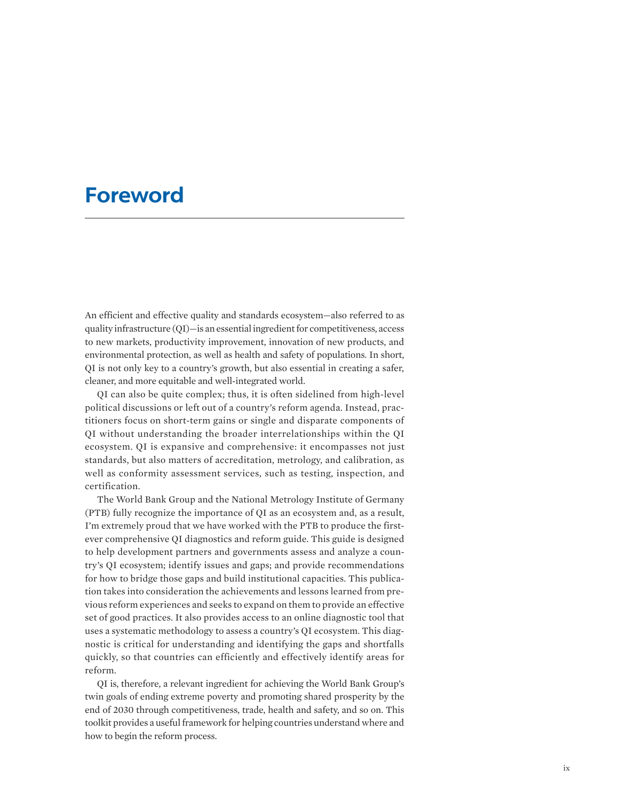# **Foreword**

An efficient and effective quality and standards ecosystem—also referred to as quality infrastructure (QI)—is an essential ingredient for competitiveness, access to new markets, productivity improvement, innovation of new products, and environmental protection, as well as health and safety of populations. In short, QI is not only key to a country's growth, but also essential in creating a safer, cleaner, and more equitable and well-integrated world.

QI can also be quite complex; thus, it is often sidelined from high-level political discussions or left out of a country's reform agenda. Instead, practitioners focus on short-term gains or single and disparate components of QI without understanding the broader interrelationships within the QI ecosystem. QI is expansive and comprehensive: it encompasses not just standards, but also matters of accreditation, metrology, and calibration, as well as conformity assessment services, such as testing, inspection, and certification.

The World Bank Group and the National Metrology Institute of Germany (PTB) fully recognize the importance of QI as an ecosystem and, as a result, I'm extremely proud that we have worked with the PTB to produce the firstever comprehensive QI diagnostics and reform guide. This guide is designed to help development partners and governments assess and analyze a country's QI ecosystem; identify issues and gaps; and provide recommendations for how to bridge those gaps and build institutional capacities. This publication takes into consideration the achievements and lessons learned from previous reform experiences and seeks to expand on them to provide an effective set of good practices. It also provides access to an online diagnostic tool that uses a systematic methodology to assess a country's QI ecosystem. This diagnostic is critical for understanding and identifying the gaps and shortfalls quickly, so that countries can efficiently and effectively identify areas for reform.

QI is, therefore, a relevant ingredient for achieving the World Bank Group's twin goals of ending extreme poverty and promoting shared prosperity by the end of 2030 through competitiveness, trade, health and safety, and so on. This toolkit provides a useful framework for helping countries understand where and how to begin the reform process.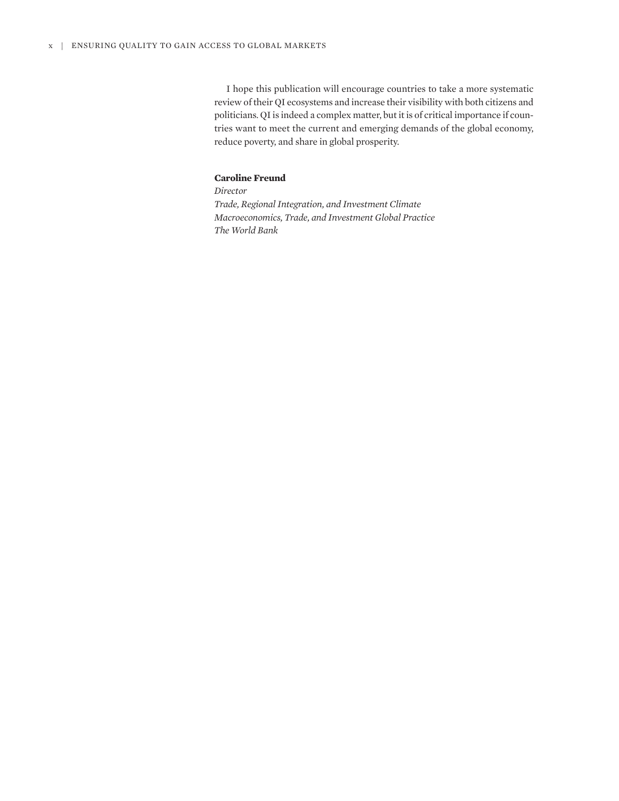I hope this publication will encourage countries to take a more systematic review of their QI ecosystems and increase their visibility with both citizens and politicians. QI is indeed a complex matter, but it is of critical importance if countries want to meet the current and emerging demands of the global economy, reduce poverty, and share in global prosperity.

# **Caroline Freund**

*Director Trade, Regional Integration, and Investment Climate Macroeconomics, Trade, and Investment Global Practice The World Bank*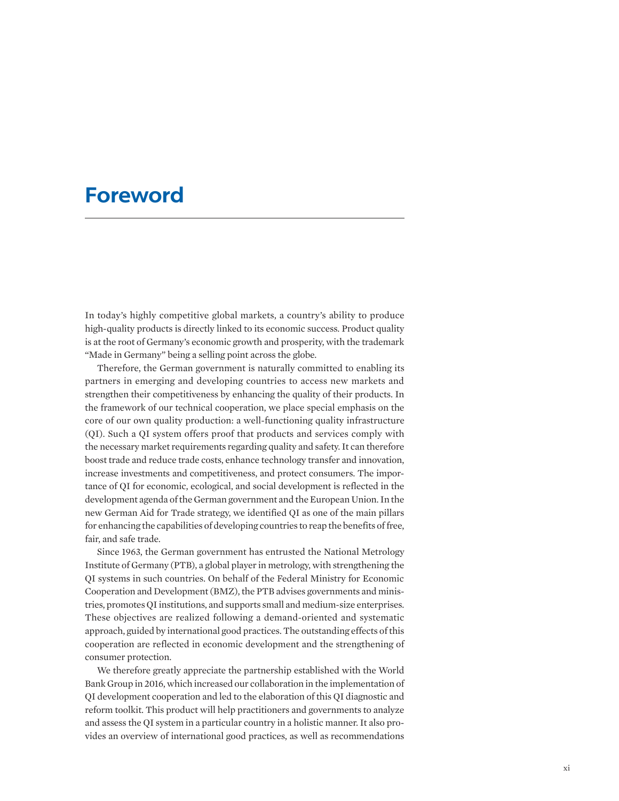# **Foreword**

In today's highly competitive global markets, a country's ability to produce high-quality products is directly linked to its economic success. Product quality is at the root of Germany's economic growth and prosperity, with the trademark "Made in Germany" being a selling point across the globe.

Therefore, the German government is naturally committed to enabling its partners in emerging and developing countries to access new markets and strengthen their competitiveness by enhancing the quality of their products. In the framework of our technical cooperation, we place special emphasis on the core of our own quality production: a well-functioning quality infrastructure (QI). Such a QI system offers proof that products and services comply with the necessary market requirements regarding quality and safety. It can therefore boost trade and reduce trade costs, enhance technology transfer and innovation, increase investments and competitiveness, and protect consumers. The importance of QI for economic, ecological, and social development is reflected in the development agenda of the German government and the European Union. In the new German Aid for Trade strategy, we identified QI as one of the main pillars for enhancing the capabilities of developing countries to reap the benefits of free, fair, and safe trade.

Since 1963, the German government has entrusted the National Metrology Institute of Germany (PTB), a global player in metrology, with strengthening the QI systems in such countries. On behalf of the Federal Ministry for Economic Cooperation and Development (BMZ), the PTB advises governments and ministries, promotes QI institutions, and supports small and medium-size enterprises. These objectives are realized following a demand-oriented and systematic approach, guided by international good practices. The outstanding effects of this cooperation are reflected in economic development and the strengthening of consumer protection.

We therefore greatly appreciate the partnership established with the World Bank Group in 2016, which increased our collaboration in the implementation of QI development cooperation and led to the elaboration of this QI diagnostic and reform toolkit. This product will help practitioners and governments to analyze and assess the QI system in a particular country in a holistic manner. It also provides an overview of international good practices, as well as recommendations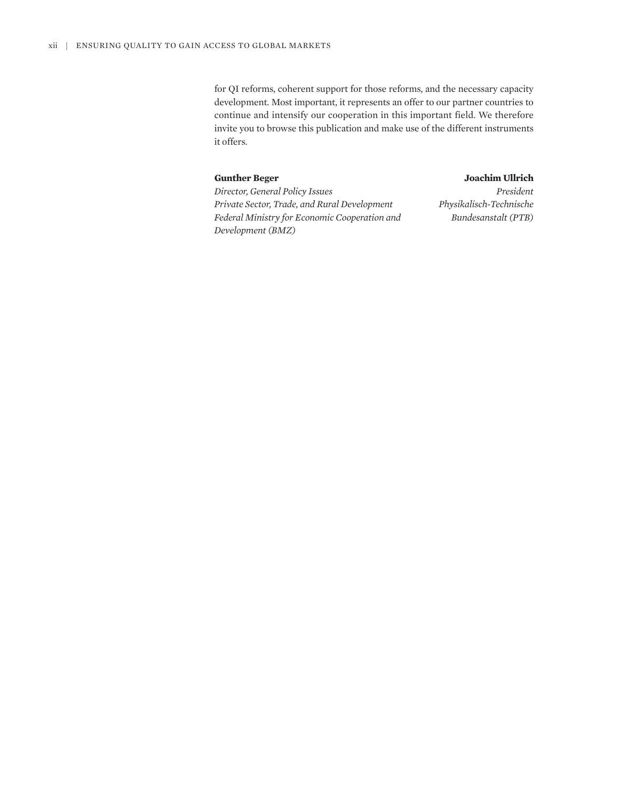for QI reforms, coherent support for those reforms, and the necessary capacity development. Most important, it represents an offer to our partner countries to continue and intensify our cooperation in this important field. We therefore invite you to browse this publication and make use of the different instruments it offers.

### **Gunther Beger**

## **Joachim Ullrich**

*Director, General Policy Issues Private Sector, Trade, and Rural Development Federal Ministry for Economic Cooperation and Development (BMZ)*

*President Physikalisch-Technische Bundesanstalt (PTB)*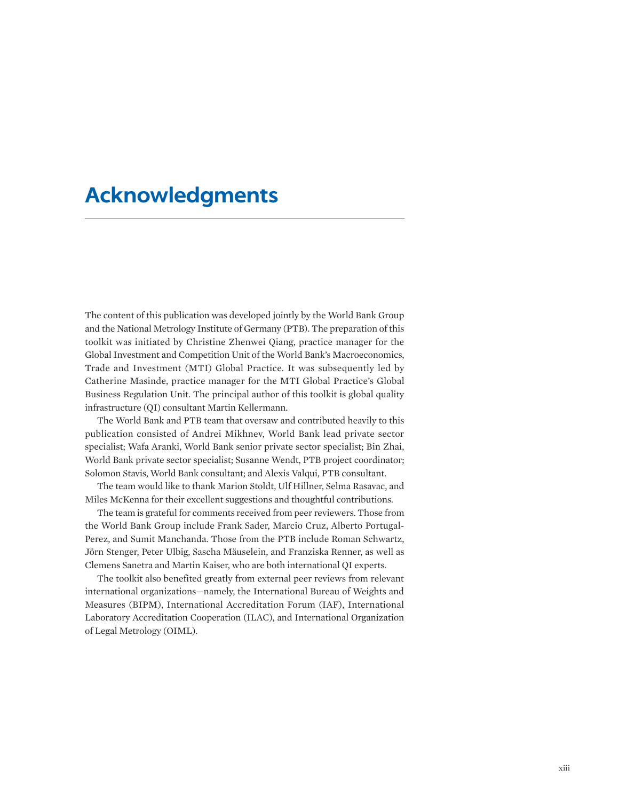# **Acknowledgments**

The content of this publication was developed jointly by the World Bank Group and the National Metrology Institute of Germany (PTB). The preparation of this toolkit was initiated by Christine Zhenwei Qiang, practice manager for the Global Investment and Competition Unit of the World Bank's Macroeconomics, Trade and Investment (MTI) Global Practice. It was subsequently led by Catherine Masinde, practice manager for the MTI Global Practice's Global Business Regulation Unit. The principal author of this toolkit is global quality infrastructure (QI) consultant Martin Kellermann.

The World Bank and PTB team that oversaw and contributed heavily to this publication consisted of Andrei Mikhnev, World Bank lead private sector specialist; Wafa Aranki, World Bank senior private sector specialist; Bin Zhai, World Bank private sector specialist; Susanne Wendt, PTB project coordinator; Solomon Stavis, World Bank consultant; and Alexis Valqui, PTB consultant.

The team would like to thank Marion Stoldt, Ulf Hillner, Selma Rasavac, and Miles McKenna for their excellent suggestions and thoughtful contributions.

The team is grateful for comments received from peer reviewers. Those from the World Bank Group include Frank Sader, Marcio Cruz, Alberto Portugal-Perez, and Sumit Manchanda. Those from the PTB include Roman Schwartz, Jörn Stenger, Peter Ulbig, Sascha Mäuselein, and Franziska Renner, as well as Clemens Sanetra and Martin Kaiser, who are both international QI experts.

The toolkit also benefited greatly from external peer reviews from relevant international organizations—namely, the International Bureau of Weights and Measures (BIPM), International Accreditation Forum (IAF), International Laboratory Accreditation Cooperation (ILAC), and International Organization of Legal Metrology (OIML).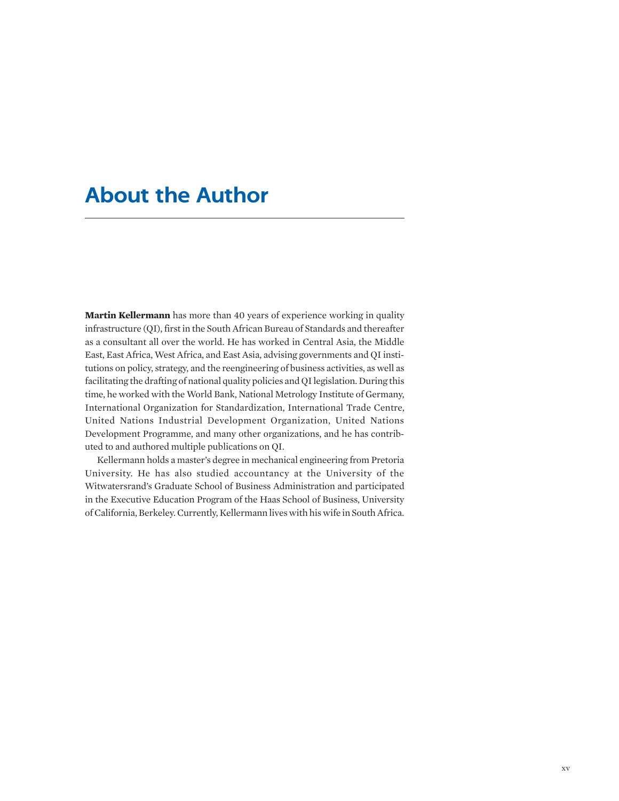# **About the Author**

**Martin Kellermann** has more than 40 years of experience working in quality infrastructure (QI), first in the South African Bureau of Standards and thereafter as a consultant all over the world. He has worked in Central Asia, the Middle East, East Africa, West Africa, and East Asia, advising governments and QI institutions on policy, strategy, and the reengineering of business activities, as well as facilitating the drafting of national quality policies and QI legislation. During this time, he worked with the World Bank, National Metrology Institute of Germany, International Organization for Standardization, International Trade Centre, United Nations Industrial Development Organization, United Nations Development Programme, and many other organizations, and he has contributed to and authored multiple publications on QI.

Kellermann holds a master's degree in mechanical engineering from Pretoria University. He has also studied accountancy at the University of the Witwatersrand's Graduate School of Business Administration and participated in the Executive Education Program of the Haas School of Business, University of California, Berkeley. Currently, Kellermann lives with his wife in South Africa.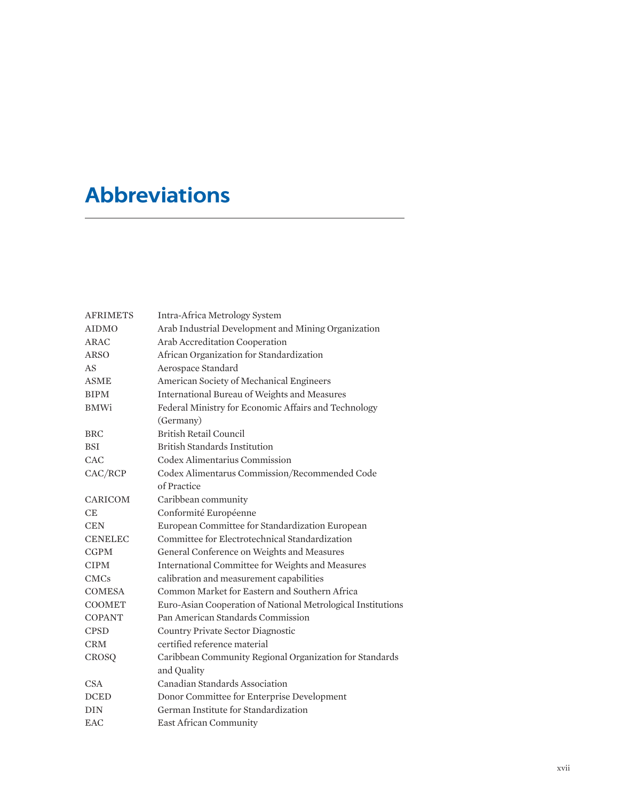# **Abbreviations**

| <b>AFRIMETS</b> | Intra-Africa Metrology System                                |
|-----------------|--------------------------------------------------------------|
| <b>AIDMO</b>    | Arab Industrial Development and Mining Organization          |
| <b>ARAC</b>     | Arab Accreditation Cooperation                               |
| ARSO            | African Organization for Standardization                     |
| AS              | Aerospace Standard                                           |
| <b>ASME</b>     | American Society of Mechanical Engineers                     |
| <b>BIPM</b>     | International Bureau of Weights and Measures                 |
| <b>BMWi</b>     | Federal Ministry for Economic Affairs and Technology         |
|                 | (Germany)                                                    |
| <b>BRC</b>      | British Retail Council                                       |
| <b>BSI</b>      | British Standards Institution                                |
| CAC             | Codex Alimentarius Commission                                |
| CAC/RCP         | Codex Alimentarus Commission/Recommended Code                |
|                 | of Practice                                                  |
| CARICOM         | Caribbean community                                          |
| <b>CE</b>       | Conformité Européenne                                        |
| <b>CEN</b>      | European Committee for Standardization European              |
| <b>CENELEC</b>  | Committee for Electrotechnical Standardization               |
| <b>CGPM</b>     | General Conference on Weights and Measures                   |
| <b>CIPM</b>     | International Committee for Weights and Measures             |
| <b>CMCs</b>     | calibration and measurement capabilities                     |
| <b>COMESA</b>   | Common Market for Eastern and Southern Africa                |
| <b>COOMET</b>   | Euro-Asian Cooperation of National Metrological Institutions |
| <b>COPANT</b>   | Pan American Standards Commission                            |
| <b>CPSD</b>     | Country Private Sector Diagnostic                            |
| <b>CRM</b>      | certified reference material                                 |
| CROSQ           | Caribbean Community Regional Organization for Standards      |
|                 | and Quality                                                  |
| <b>CSA</b>      | Canadian Standards Association                               |
| <b>DCED</b>     | Donor Committee for Enterprise Development                   |
| <b>DIN</b>      | German Institute for Standardization                         |
| <b>EAC</b>      | <b>East African Community</b>                                |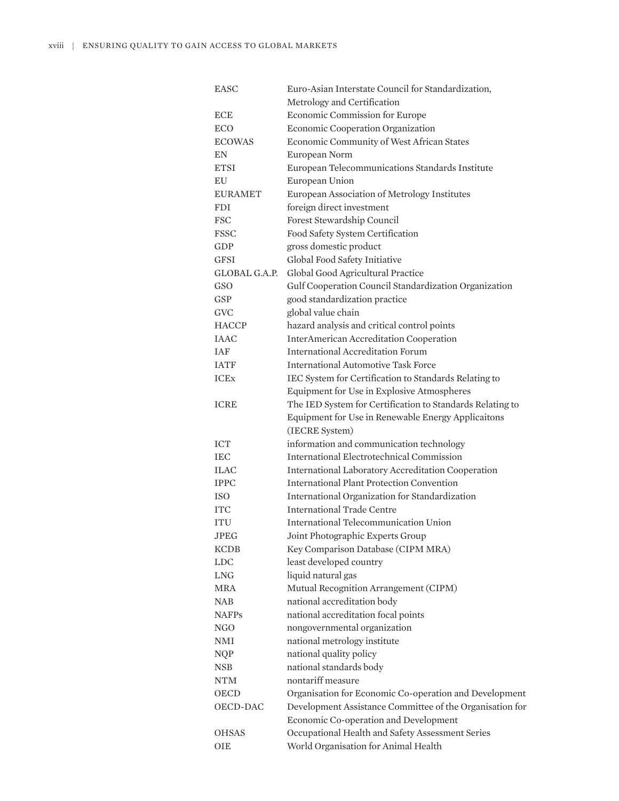| <b>EASC</b>    | Euro-Asian Interstate Council for Standardization,        |
|----------------|-----------------------------------------------------------|
|                | Metrology and Certification                               |
| <b>ECE</b>     | Economic Commission for Europe                            |
| <b>ECO</b>     | Economic Cooperation Organization                         |
| <b>ECOWAS</b>  | Economic Community of West African States                 |
| EN             | European Norm                                             |
| <b>ETSI</b>    | European Telecommunications Standards Institute           |
| EU             | European Union                                            |
| <b>EURAMET</b> | European Association of Metrology Institutes              |
| <b>FDI</b>     | foreign direct investment                                 |
| <b>FSC</b>     | Forest Stewardship Council                                |
| <b>FSSC</b>    | Food Safety System Certification                          |
| GDP            | gross domestic product                                    |
| <b>GFSI</b>    | Global Food Safety Initiative                             |
| GLOBAL G.A.P.  | Global Good Agricultural Practice                         |
| GSO            | Gulf Cooperation Council Standardization Organization     |
| <b>GSP</b>     | good standardization practice                             |
| <b>GVC</b>     | global value chain                                        |
| <b>HACCP</b>   | hazard analysis and critical control points               |
| <b>IAAC</b>    | <b>InterAmerican Accreditation Cooperation</b>            |
| <b>IAF</b>     | <b>International Accreditation Forum</b>                  |
| <b>IATF</b>    | <b>International Automotive Task Force</b>                |
| <b>ICE</b> x   | IEC System for Certification to Standards Relating to     |
|                | Equipment for Use in Explosive Atmospheres                |
| <b>ICRE</b>    | The IED System for Certification to Standards Relating to |
|                | Equipment for Use in Renewable Energy Applicaitons        |
|                | (IECRE System)                                            |
| <b>ICT</b>     | information and communication technology                  |
| <b>IEC</b>     | <b>International Electrotechnical Commission</b>          |
| <b>ILAC</b>    | <b>International Laboratory Accreditation Cooperation</b> |
| <b>IPPC</b>    | <b>International Plant Protection Convention</b>          |
| ISO            | International Organization for Standardization            |
| <b>ITC</b>     | <b>International Trade Centre</b>                         |
| <b>ITU</b>     | <b>International Telecommunication Union</b>              |
| <b>JPEG</b>    | Joint Photographic Experts Group                          |
| <b>KCDB</b>    | Key Comparison Database (CIPM MRA)                        |
| <b>LDC</b>     | least developed country                                   |
| <b>LNG</b>     | liquid natural gas                                        |
| MRA            | Mutual Recognition Arrangement (CIPM)                     |
| <b>NAB</b>     | national accreditation body                               |
| <b>NAFPs</b>   | national accreditation focal points                       |
| <b>NGO</b>     | nongovernmental organization                              |
| <b>NMI</b>     | national metrology institute                              |
| <b>NQP</b>     | national quality policy                                   |
| <b>NSB</b>     | national standards body                                   |
| <b>NTM</b>     | nontariff measure                                         |
| OECD           | Organisation for Economic Co-operation and Development    |
| OECD-DAC       | Development Assistance Committee of the Organisation for  |
|                | Economic Co-operation and Development                     |
| <b>OHSAS</b>   | Occupational Health and Safety Assessment Series          |
| OIE            | World Organisation for Animal Health                      |
|                |                                                           |